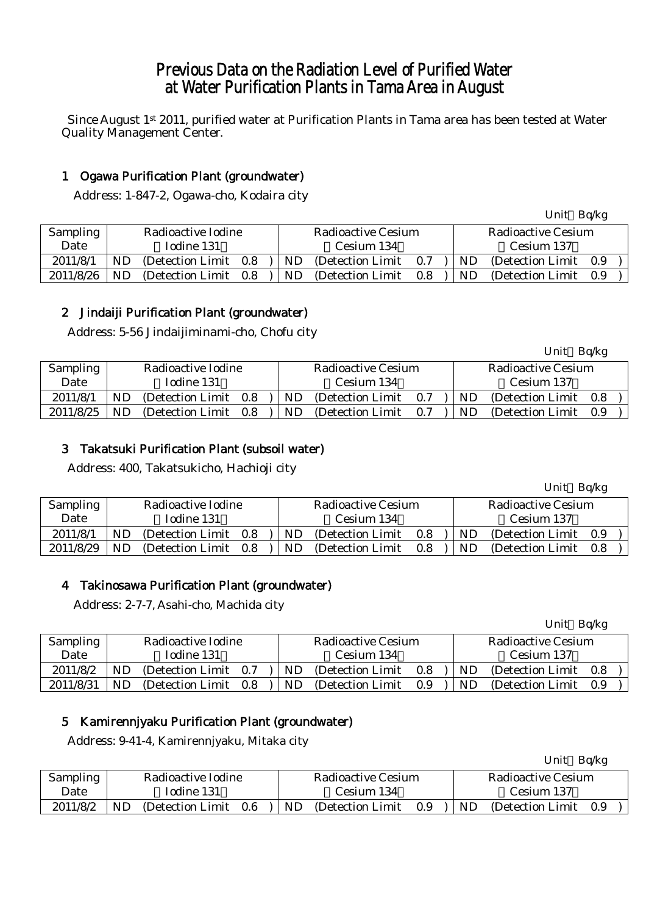# Previous Data on the Radiation Level of Purified Water at Water Purification Plants in Tama Area in August

Since August 1st 2011, purified water at Purification Plants in Tama area has been tested at Water Quality Management Center.

# 1 Ogawa Purification Plant (groundwater)

Address: 1-847-2, Ogawa-cho, Kodaira city

|                 |    |                    |     |    |                    |     |    | Unit Bq/kg                |     |  |
|-----------------|----|--------------------|-----|----|--------------------|-----|----|---------------------------|-----|--|
| <b>Sampling</b> |    | Radioactive Iodine |     |    | Radioactive Cesium |     |    | <b>Radioactive Cesium</b> |     |  |
| Date            |    | Iodine 131         |     |    | Cesium 134         |     |    | Cesium 137                |     |  |
| 2011/8/1        | ND | (Detection Limit)  | 0.8 | ND | (Detection Limit)  | 0.7 | ND | (Detection Limit)         | 0.9 |  |
| 2011/8/26       | ND | (Detection Limit)  | 0.8 | ND | (Detection Limit)  | 0.8 | ND | (Detection Limit)         | 0.9 |  |

# 2 Jindaiji Purification Plant (groundwater)

Address: 5-56 Jindaijiminami-cho, Chofu city

|           |            |                    |     |            |                    |                   |     |            |    | Unit Bq/kg         |     |  |  |
|-----------|------------|--------------------|-----|------------|--------------------|-------------------|-----|------------|----|--------------------|-----|--|--|
| Sampling  |            | Radioactive Iodine |     |            | Radioactive Cesium |                   |     |            |    | Radioactive Cesium |     |  |  |
| Date      | Iodine 131 |                    |     | Cesium 134 |                    |                   |     | Cesium 137 |    |                    |     |  |  |
| 2011/8/1  | ND         | (Detection Limit)  | 0.8 |            | ND                 | (Detection Limit) | 0.7 |            | ND | (Detection Limit)  | 0.8 |  |  |
| 2011/8/25 | ND.        | (Detection Limit)  | 0.8 |            | ND                 | (Detection Limit) | 0.7 |            | ND | (Detection Limit   | 0.9 |  |  |

# 3 Takatsuki Purification Plant (subsoil water)

Address: 400, Takatsukicho, Hachioji city

|           |            |                    |     |                           |                   |            |    | Unit                      | Bq/kg |  |  |
|-----------|------------|--------------------|-----|---------------------------|-------------------|------------|----|---------------------------|-------|--|--|
| Sampling  |            | Radioactive Iodine |     | <b>Radioactive Cesium</b> |                   |            |    | <b>Radioactive Cesium</b> |       |  |  |
| Date      | Iodine 131 |                    |     |                           | Cesium 134        | Cesium 137 |    |                           |       |  |  |
| 2011/8/1  | ND.        | (Detection Limit)  | 0.8 | ND                        | (Detection Limit) | 0.8        | ND | (Detection Limit)         | 0.9   |  |  |
| 2011/8/29 | ND         | (Detection Limit)  | 0.8 | ND                        | (Detection Limit) | 0.8        | ND | (Detection Limit)         | 0.8   |  |  |

# 4 Takinosawa Purification Plant (groundwater)

Address: 2-7-7, Asahi-cho, Machida city

|           |    |                    |     |    |                    |     |    | Unit               | Bq/kg |  |
|-----------|----|--------------------|-----|----|--------------------|-----|----|--------------------|-------|--|
| Sampling  |    | Radioactive Iodine |     |    | Radioactive Cesium |     |    | Radioactive Cesium |       |  |
| Date      |    | Iodine 131         |     |    | Cesium 134         |     |    | Cesium 137         |       |  |
| 2011/8/2  | ND | (Detection Limit)  | 0.7 | ND | (Detection Limit)  | 0.8 | ND | (Detection Limit)  | 0.8   |  |
| 2011/8/31 | ND | (Detection Limit)  | 0.8 | ND | (Detection Limit)  | 0.9 | ND | (Detection Limit)  | 0.9   |  |

# 5 Kamirennjyaku Purification Plant (groundwater)

Address: 9-41-4, Kamirennjyaku, Mitaka city

|                 |                                |  |            |                    |     |           | <b>UIIIU</b>       | $Dy \wedge R$ |  |
|-----------------|--------------------------------|--|------------|--------------------|-----|-----------|--------------------|---------------|--|
| <b>Sampling</b> | Radioactive Iodine             |  |            | Radioactive Cesium |     |           | Radioactive Cesium |               |  |
| Date            | Iodine 131                     |  | Cesium 134 | Cesium 137         |     |           |                    |               |  |
| 2011/8/2        | ND<br>0.6<br>(Detection Limit) |  | ND         | (Detection Limit)  | 0.9 | <b>ND</b> | (Detection Limit)  | 0.9           |  |

 $U_{\text{m}}$ it  $D_{\alpha}/k_{\alpha}$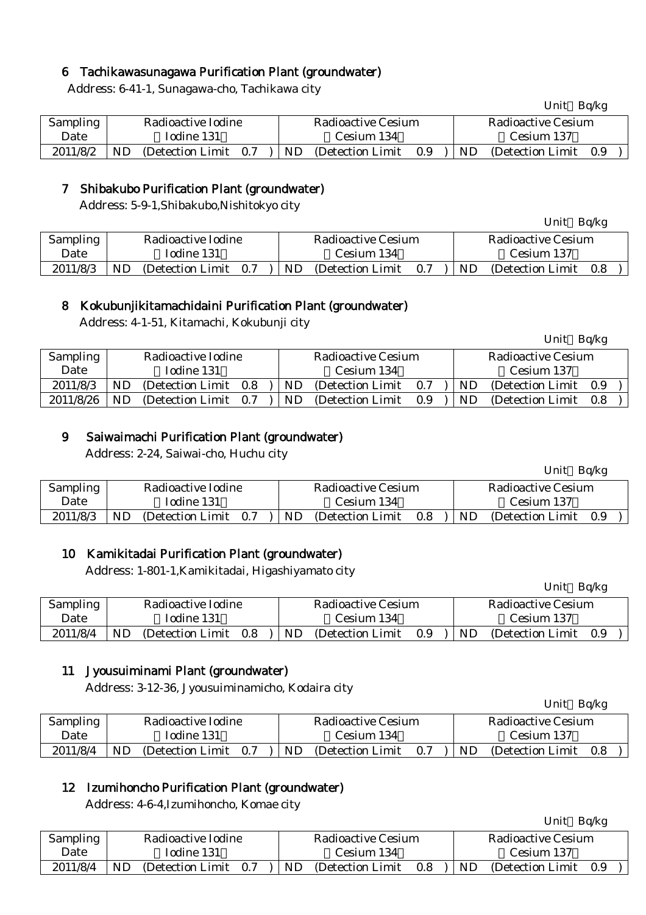## 6 Tachikawasunagawa Purification Plant (groundwater)

Address: 6-41-1, Sunagawa-cho, Tachikawa city

| <b>Sampling</b> |    | Radioactive Iodine    |  |     | Radioactive Cesium | Radioactive Cesium |           |                   |     |  |
|-----------------|----|-----------------------|--|-----|--------------------|--------------------|-----------|-------------------|-----|--|
| Date            |    | Iodine 131            |  |     | Cesium 134         | Cesium 137         |           |                   |     |  |
| 2011/8/2        | ND | (Detection Limit 0.7) |  | ND. | (Detection Limit)  | 0.9                | <b>ND</b> | (Detection Limit) | 0.9 |  |

## 7 Shibakubo Purification Plant (groundwater)

Address: 5-9-1,Shibakubo,Nishitokyo city

| <b>Sampling</b> |            | Radioactive Iodine    |  | Radioactive Cesium |                   |     |           | Radioactive Cesium |     |  |  |
|-----------------|------------|-----------------------|--|--------------------|-------------------|-----|-----------|--------------------|-----|--|--|
| Date            | Iodine 131 |                       |  | Cesium 134         |                   |     |           | Cesium 137         |     |  |  |
| 2011/8/3        | ND         | (Detection Limit 0.7) |  | ND                 | (Detection Limit) | 0.7 | <b>ND</b> | (Detection Limit)  | 0.8 |  |  |

## 8 Kokubunjikitamachidaini Purification Plant (groundwater)

Address: 4-1-51, Kitamachi, Kokubunji city

| Sampling  |    | Radioactive Iodine    |     |     | Radioactive Cesium |     | Radioactive Cesium |                   |     |  |  |
|-----------|----|-----------------------|-----|-----|--------------------|-----|--------------------|-------------------|-----|--|--|
| Date      |    | Iodine 131            |     |     | Cesium 134         |     |                    | Cesium 137        |     |  |  |
| 2011/8/3  | ND | (Detection Limit)     | 0.8 | ND. | (Detection Limit)  | 0.7 | ND.                | (Detection Limit) | 0.9 |  |  |
| 2011/8/26 | ND | (Detection Limit 0.7) |     | ND  | (Detection Limit)  | 0.9 | ND.                | (Detection Limit) | 0.8 |  |  |

## 9 Saiwaimachi Purification Plant (groundwater)

Address: 2-24, Saiwai-cho, Huchu city

Unit Bq/kg

Unit Bq/kg

Unit Bq/kg

Unit Bq/kg

Unit Bq/kg

| <b>Sampling</b> |            | Radioactive Iodine    |  |     | Radioactive Cesium | Radioactive Cesium |     |                   |     |  |
|-----------------|------------|-----------------------|--|-----|--------------------|--------------------|-----|-------------------|-----|--|
| Date            | Iodine 131 |                       |  |     | Cesium 134         | Cesium 137         |     |                   |     |  |
| 2011/8/3        | ND.        | (Detection Limit 0.7) |  | ND. | (Detection Limit)  | 0.8                | ND. | (Detection Limit) | 0.9 |  |

### 10 Kamikitadai Purification Plant (groundwater)

Address: 1-801-1,Kamikitadai, Higashiyamato city

| Sampling |            | Radioactive Iodine |     |     | Radioactive Cesium |         |            | Radioactive Cesium |     |  |
|----------|------------|--------------------|-----|-----|--------------------|---------|------------|--------------------|-----|--|
| Date     | Iodine 131 |                    |     |     | Cesium 134         |         | Cesium 137 |                    |     |  |
| 2011/8/4 | ND         | (Detection Limit)  | 0.8 | ND. | (Detection Limit)  | $0.9\,$ | <b>ND</b>  | (Detection Limit)  | 0.9 |  |
|          |            |                    |     |     |                    |         |            |                    |     |  |

### 11 Jyousuiminami Plant (groundwater)

Address: 3-12-36, Jyousuiminamicho, Kodaira city

|                 |            |                    |     |            |                    |                    |  |            | Unit              | Bq/kg |  |
|-----------------|------------|--------------------|-----|------------|--------------------|--------------------|--|------------|-------------------|-------|--|
| <b>Sampling</b> |            | Radioactive Iodine |     |            | Radioactive Cesium | Radioactive Cesium |  |            |                   |       |  |
| Date            | Iodine 131 |                    |     | Cesium 134 |                    |                    |  | Cesium 137 |                   |       |  |
| 2011/8/4        | ND         | (Detection Limit)  | 0.7 | ND         | (Detection Limit)  | 0.7                |  | ND         | (Detection Limit) | 0.8   |  |

### 12 Izumihoncho Purification Plant (groundwater)

Address: 4-6-4,Izumihoncho, Komae city

| Sampling |     | Radioactive Iodine    |  |    | Radioactive Cesium | Radioactive Cesium |                             |                       |  |  |
|----------|-----|-----------------------|--|----|--------------------|--------------------|-----------------------------|-----------------------|--|--|
| Date     |     | Iodine 131            |  |    | Cesium 134         | Cesium 137         |                             |                       |  |  |
| 2011/8/4 | ND. | (Detection Limit 0.7) |  | ND | (Detection Limit)  | 0.8                | $\overline{\phantom{a}}$ ND | (Detection Limit 0.9) |  |  |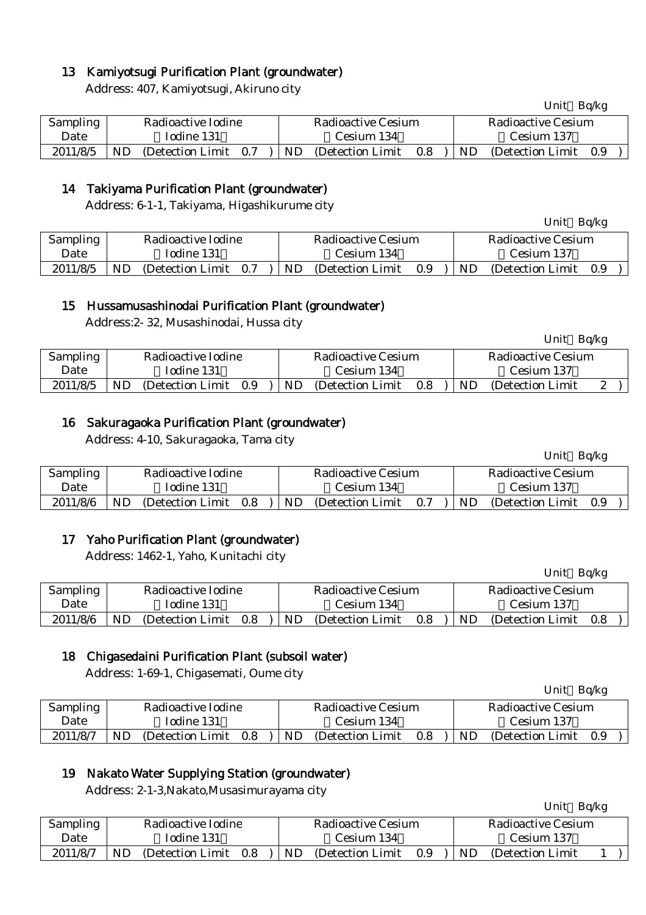## 13 Kamiyotsugi Purification Plant (groundwater)

Address: 407, Kamiyotsugi, Akiruno city

|          |    |                       |  |     |                    |                    |     | $\sim$ $\sim$ $\sim$ $\sim$ |     |  |
|----------|----|-----------------------|--|-----|--------------------|--------------------|-----|-----------------------------|-----|--|
| Sampling |    | Radioactive Iodine    |  |     | Radioactive Cesium | Radioactive Cesium |     |                             |     |  |
| Date     |    | Todine 131            |  |     | Cesium 134         |                    |     | Cesium 137                  |     |  |
| 2011/8/5 | ND | (Detection Limit 0.7) |  | ND. | (Detection Limit)  | 0.8                | ND. | (Detection Limit)           | 0.9 |  |

## 14 Takiyama Purification Plant (groundwater)

Address: 6-1-1, Takiyama, Higashikurume city

| Sampling |            | Radioactive Iodine    |  |            | Radioactive Cesium | Radioactive Cesium |           |                   |     |  |  |
|----------|------------|-----------------------|--|------------|--------------------|--------------------|-----------|-------------------|-----|--|--|
| Date     | Iodine 131 |                       |  | Cesium 134 |                    |                    |           | Cesium 137        |     |  |  |
| 2011/8/5 | ND         | (Detection Limit 0.7) |  | ND         | (Detection Limit)  | 0.9                | <b>ND</b> | (Detection Limit) | 0.9 |  |  |

## 15 Hussamusashinodai Purification Plant (groundwater)

Address:2- 32, Musashinodai, Hussa city

| Sampling |    | Radioactive Iodine |     |    | Radioactive Cesium |     |    | Radioactive Cesium |   |
|----------|----|--------------------|-----|----|--------------------|-----|----|--------------------|---|
| Date     |    | Iodine 131         |     |    | Cesium 134         |     |    | Cesium 137         |   |
| 2011/8/5 | ND | (Detection Limit)  | 0.9 | ND | (Detection Limit)  | 0.8 | ND | (Detection Limit)  | ∼ |

## 16 Sakuragaoka Purification Plant (groundwater)

Address: 4-10, Sakuragaoka, Tama city

|          |                             |                                 | Unit<br>Bq/kg                |
|----------|-----------------------------|---------------------------------|------------------------------|
| Sampling | Radioactive Iodine          | Radioactive Cesium              | Radioactive Cesium           |
| Date     | Iodine 131                  | Cesium 134                      | Cesium 137                   |
| 2011/8/6 | ND<br>(Detection Limit 0.8) | ND.<br>0.7<br>(Detection Limit) | ND.<br>(Detection Limit 0.9) |

### 17 Yaho Purification Plant (groundwater)

Address: 1462-1, Yaho, Kunitachi city

| <b>Sampling</b> |            | Radioactive Iodine |     |  | Radioactive Cesium |                   |     |            | Radioactive Cesium |     |  |  |
|-----------------|------------|--------------------|-----|--|--------------------|-------------------|-----|------------|--------------------|-----|--|--|
| Date            | Iodine 131 |                    |     |  | Cesium 134         |                   |     | Cesium 137 |                    |     |  |  |
| 2011/8/6        | ND         | (Detection Limit)  | 0.8 |  | ND                 | (Detection Limit) | 0.8 | ND.        | (Detection Limit)  | 0.8 |  |  |

### 18 Chigasedaini Purification Plant (subsoil water)

Address: 1-69-1, Chigasemati, Oume city

|          |    |                    |     |                    |                   |     |           | Unit Bq/kg         |     |  |  |
|----------|----|--------------------|-----|--------------------|-------------------|-----|-----------|--------------------|-----|--|--|
| Sampling |    | Radioactive Iodine |     | Radioactive Cesium |                   |     |           | Radioactive Cesium |     |  |  |
| Date     |    | Iodine 131         |     |                    | Cesium 134        |     |           | Cesium 137         |     |  |  |
| 2011/8/7 | ND | (Detection Limit)  | 0.8 | N <sub>D</sub>     | (Detection Limit) | 0.8 | <b>ND</b> | (Detection Limit)  | 0.9 |  |  |

### 19 Nakato Water Supplying Station (groundwater)

Address: 2-1-3,Nakato,Musasimurayama city

|          |    |                    |     |    |                    |     |    | Unit Bq/kg         |  |
|----------|----|--------------------|-----|----|--------------------|-----|----|--------------------|--|
| Sampling |    | Radioactive Iodine |     |    | Radioactive Cesium |     |    | Radioactive Cesium |  |
| Date     |    | Iodine 131         |     |    | Cesium 134         |     |    | Cesium 137         |  |
| 2011/8/7 | ND | (Detection Limit)  | 0.8 | ND | (Detection Limit)  | 0.9 | ND | (Detection Limit)  |  |

Unit Bq/kg

Unit Bq/kg

Unit Bq/kg

Unit Bq/kg

| Unit | Ba/kg |
|------|-------|
|      |       |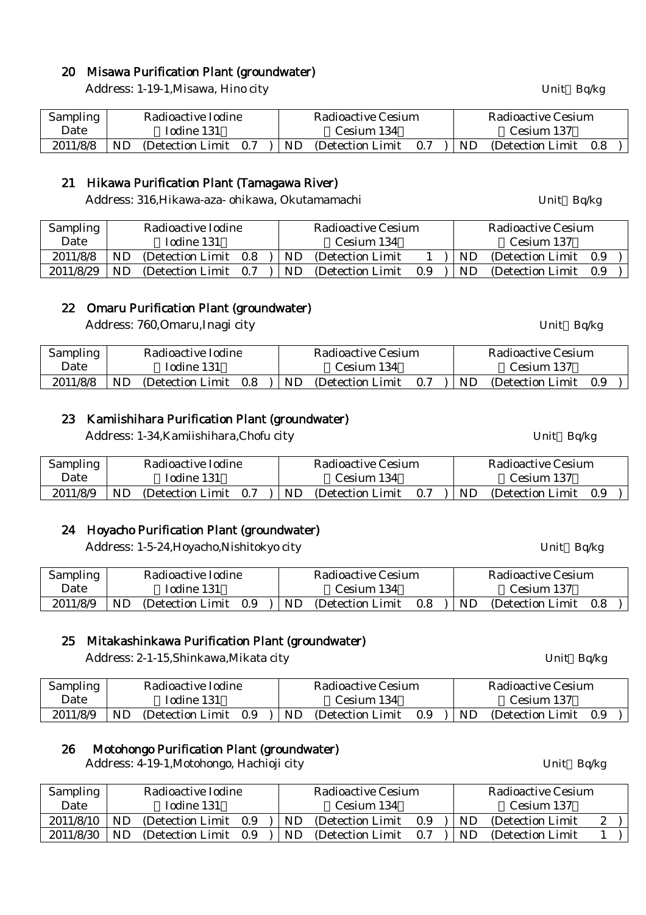## 20 Misawa Purification Plant (groundwater)

Address: 1-19-1, Misawa, Hino city Unit Bq/kg

| Sampling |            | Radioactive Iodine |  |  | Radioactive Cesium                               | Radioactive Cesium |                                   |                       |  |  |
|----------|------------|--------------------|--|--|--------------------------------------------------|--------------------|-----------------------------------|-----------------------|--|--|
| Date     | Todine 131 |                    |  |  | Cesium 134                                       |                    |                                   | Cesium 137            |  |  |
| 2011/8/8 | ND.        |                    |  |  | (Detection Limit $0.7$ ) ND (Detection Limit 0.7 |                    | $\mathsf{I} \mathsf{N}\mathsf{D}$ | (Detection Limit) 0.8 |  |  |

#### 21 Hikawa Purification Plant (Tamagawa River)

Address: 316, Hikawa-aza- ohikawa, Okutamamachi Vienness: 316, Hikawa-aza- ohikawa, Okutamamachi

| <b>Sampling</b> |     | Radioactive Iodine |     | Radioactive Cesium |                   |     |            | Radioactive Cesium    |     |  |  |
|-----------------|-----|--------------------|-----|--------------------|-------------------|-----|------------|-----------------------|-----|--|--|
| Date            |     | Iodine 131         |     | Cesium 134         |                   |     | Cesium 137 |                       |     |  |  |
| 2011/8/8        | ND  | (Detection Limit)  | 0.8 | ND.                | (Detection Limit) |     | ND.        | (Detection Limit 0.9) |     |  |  |
| 2011/8/29       | ND. | (Detection Limit)  | 0.7 | ND.                | (Detection Limit) | 0.9 | ND         | (Detection Limit)     | 0.9 |  |  |

### 22 Omaru Purification Plant (groundwater)

Address: 760, Omaru, Inagi city Unit Bq/kg

| <b>Sampling</b> | Radioactive Iodine |                       |  |            | Radioactive Cesium |     | Radioactive Cesium |                   |     |  |
|-----------------|--------------------|-----------------------|--|------------|--------------------|-----|--------------------|-------------------|-----|--|
| Date            | Iodine 131         |                       |  | Cesium 134 |                    |     | Cesium 137         |                   |     |  |
| 2011/8/8        | <b>ND</b>          | (Detection Limit 0.8) |  | ND.        | (Detection Limit   | 0.7 | ND.                | (Detection Limit) | 0.9 |  |

### 23 Kamiishihara Purification Plant (groundwater)

Address: 1-34, Kamiishihara, Chofu city Unit Bq/kg

| Sampling |            | Radioactive Iodine    |  |            | Radioactive Cesium                            |  |                        | Radioactive Cesium |     |  |
|----------|------------|-----------------------|--|------------|-----------------------------------------------|--|------------------------|--------------------|-----|--|
| Date     | Iodine 131 |                       |  | Cesium 134 |                                               |  | Cesium 137             |                    |     |  |
| 2011/8/9 | ND         | (Detection Limit 0.7) |  |            | $ \text{ND} \text{Detection Limit} \quad 0.7$ |  | $\overline{\text{ND}}$ | (Detection Limit)  | 0.9 |  |

### 24 Hoyacho Purification Plant (groundwater)

Address: 1-5-24, Hoyacho, Nishitokyo city Unit Bq/kg

| Sampling |    | Radioactive Iodine<br>Iodine 131 |     |            |     | Radioactive Cesium |            |     | Radioactive Cesium |     |  |
|----------|----|----------------------------------|-----|------------|-----|--------------------|------------|-----|--------------------|-----|--|
| Date     |    |                                  |     | Cesium 134 |     |                    | Cesium 137 |     |                    |     |  |
| 2011/8/9 | ND | (Detection Limit)                | 0.9 |            | ND. | (Detection Limit)  | 0.8        | ND. | (Detection Limit)  | 0.8 |  |

#### 25 Mitakashinkawa Purification Plant (groundwater)

Address: 2-1-15,Shinkawa,Mikata city Unit Bq/kg

| Sampling |    | Radioactive Iodine<br>Iodine 131 |  |            | Radioactive Cesium |     | Radioactive Cesium |                   |     |  |
|----------|----|----------------------------------|--|------------|--------------------|-----|--------------------|-------------------|-----|--|
| Date     |    |                                  |  | Cesium 134 |                    |     | Cesium 137         |                   |     |  |
| 2011/8/9 | ND | (Detection Limit 0.9)            |  | ND         | (Detection Limit)  | 0.9 | ND.                | (Detection Limit) | 0.9 |  |

#### 26 Motohongo Purification Plant (groundwater)

Address: 4-19-1, Motohongo, Hachioji city Unit Bq/kg

| <b>Sampling</b> |    | Radioactive Iodine |     |     | Radioactive Cesium |     |           | Radioactive Cesium |  |
|-----------------|----|--------------------|-----|-----|--------------------|-----|-----------|--------------------|--|
| Date            |    | Iodine 131         |     |     | Cesium 134         |     |           | Cesium 137         |  |
| 2011/8/10       | ND | (Detection Limit)  | 0.9 | ND. | (Detection Limit)  | 0.9 | <b>ND</b> | (Detection Limit)  |  |
| 2011/8/30       | ND | (Detection Limit)  | 0.9 | ND. | (Detection Limit)  | 0.7 | ND.       | (Detection Limit)  |  |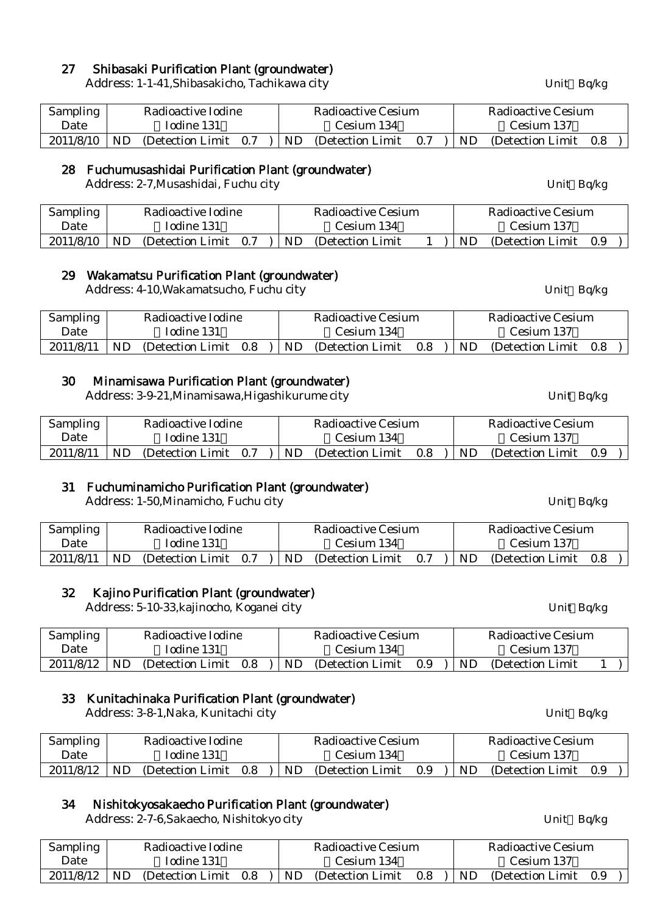# 27 Shibasaki Purification Plant (groundwater)

Address: 1-1-41, Shibasakicho, Tachikawa city Unit Bq/kg

| <b>Sampling</b> |    | Radioactive Iodine<br>Iodine 131 |  |            | Radioactive Cesium |     | Radioactive Cesium |                   |     |  |
|-----------------|----|----------------------------------|--|------------|--------------------|-----|--------------------|-------------------|-----|--|
| Date            |    |                                  |  | Cesium 134 |                    |     | Cesium 137         |                   |     |  |
| 2011/8/10       | ND | (Detection Limit 0.7)            |  | ND         | (Detection Limit)  | 0.7 | ND                 | (Detection Limit) | 0.8 |  |

# 28 Fuchumusashidai Purification Plant (groundwater)

Address: 2-7, Musashidai, Fuchu city Unit Bq/kg

| <b>Sampling</b> |           | Radioactive Iodine |     |     | Radioactive Cesium |     | Radioactive Cesium |     |  |
|-----------------|-----------|--------------------|-----|-----|--------------------|-----|--------------------|-----|--|
| Date            |           | Iodine 131         |     |     | Cesium 134         |     | Cesium 137         |     |  |
| 2011/8/10       | <b>ND</b> | (Detection Limit)  | 0.7 | ND. | (Detection Limit)  | ND. | (Detection Limit)  | 0.9 |  |

## 29 Wakamatsu Purification Plant (groundwater)

Address: 4-10, Wakamatsucho, Fuchu city Unit Bq/kg

| <b>Sampling</b> |           | Radioactive Iodine<br>Iodine 131 |     |            | Radioactive Cesium |     | Radioactive Cesium |                   |     |  |
|-----------------|-----------|----------------------------------|-----|------------|--------------------|-----|--------------------|-------------------|-----|--|
| Date            |           |                                  |     | Cesium 134 |                    |     |                    | Cesium 137        |     |  |
| 2011/8/11       | <b>ND</b> | (Detection Limit)                | 0.8 | ND.        | (Detection Limit)  | 0.8 | ND.                | (Detection Limit) | 0.8 |  |

## 30 Minamisawa Purification Plant (groundwater)

Address: 3-9-21, Minamisawa, Higashikurume city Unit Bq/kg

| <b>Sampling</b> |           | Radioactive Iodine<br>Iodine 131 |  |    | Radioactive Cesium |     |    | Radioactive Cesium |     |  |
|-----------------|-----------|----------------------------------|--|----|--------------------|-----|----|--------------------|-----|--|
| Date            |           |                                  |  |    | Cesium 134         |     |    | Cesium 137         |     |  |
| 2011/8/11       | <b>ND</b> | (Detection Limit 0.7)            |  | ND | (Detection Limit)  | 0.8 | ND | (Detection Limit)  | 0.9 |  |

# 31 Fuchuminamicho Purification Plant (groundwater)

Address: 1-50, Minamicho, Fuchu city **Example 2018** Unit Bq/kg

| <b>Sampling</b> |    | Radioactive Iodine |     |     | Radioactive Cesium |     |     | Radioactive Cesium    |  |
|-----------------|----|--------------------|-----|-----|--------------------|-----|-----|-----------------------|--|
| Date            |    | Iodine 131         |     |     | Cesium 134         |     |     | Cesium 137            |  |
| 2011/8/11       | ND | (Detection Limit)  | 0.7 | ND. | (Detection Limit)  | 0.7 | ND. | (Detection Limit 0.8) |  |

# 32 Kajino Purification Plant (groundwater)

Address: 5-10-33, kajinocho, Koganei city Unit Bq/kg

| Sampling  |    | Radioactive Iodine |     |     | Radioactive Cesium |     |    | Radioactive Cesium |  |
|-----------|----|--------------------|-----|-----|--------------------|-----|----|--------------------|--|
| Date      |    | Todine 131         |     |     | Cesium 134         |     |    | Cesium 137         |  |
| 2011/8/12 | ND | (Detection Limit)  | 0.8 | ND. | (Detection Limit)  | 0.9 | ND | (Detection Limit)  |  |

# 33 Kunitachinaka Purification Plant (groundwater)

Address: 3-8-1, Naka, Kunitachi city **Address: 3-8-1, Naka, Kunitachi city** Unit Bq/kg

| <b>Sampling</b> |     | Radioactive Iodine<br>Iodine 131 |     |     | Radioactive Cesium |     | Radioactive Cesium |                   |     |  |
|-----------------|-----|----------------------------------|-----|-----|--------------------|-----|--------------------|-------------------|-----|--|
| Date            |     |                                  |     |     | Cesium 134         |     |                    | Cesium 137        |     |  |
| 2011/8/12       | ND. | (Detection Limit)                | 0.8 | ND. | (Detection Limit)  | 0.9 | ND.                | (Detection Limit) | 0.9 |  |

# 34 Nishitokyosakaecho Purification Plant (groundwater)

Address: 2-7-6,Sakaecho, Nishitokyo city Unit Bq/kg

Sampling Date Radioactive Iodine Iodine 131 Radioactive Cesium Cesium 134 Radioactive Cesium Cesium 137  $2011/8/12$  ND (Detection Limit 0.8 ) ND (Detection Limit 0.8 ) ND (Detection Limit 0.9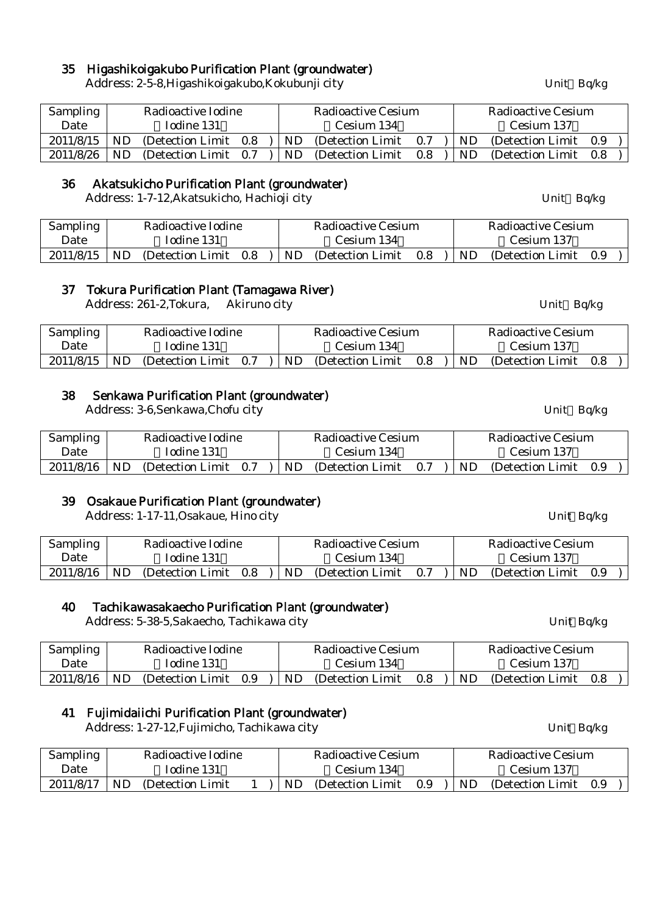# 35 Higashikoigakubo Purification Plant (groundwater)

Address: 2-5-8, Higashikoigakubo, Kokubunji city Vietnam March 2014 Unit Bq/kg

| Sampling  |           | Radioactive Iodine    |            | Radioactive Cesium  |     |  |            | Radioactive Cesium    |  |
|-----------|-----------|-----------------------|------------|---------------------|-----|--|------------|-----------------------|--|
| Date      |           | Iodine 131            | Cesium 134 |                     |     |  | Cesium 137 |                       |  |
| 2011/8/15 | <b>ND</b> | (Detection Limit 0.8) | ND.        | (Detection Limit)   | 0.7 |  | ND         | (Detection Limit 0.9) |  |
| 2011/8/26 | ND.       | (Detection Limit 0.7) |            | ND (Detection Limit | 0.8 |  | ND.        | (Detection Limit 0.8) |  |

## 36 Akatsukicho Purification Plant (groundwater)

Address: 1-7-12, Akatsukicho, Hachioji city Unit Bq/kg

| <b>Sampling</b> |    | Radioactive Iodine<br>Todine 131 |     |  | Radioactive Cesium |                   |     |    | Radioactive Cesium |     |  |
|-----------------|----|----------------------------------|-----|--|--------------------|-------------------|-----|----|--------------------|-----|--|
| Date            |    |                                  |     |  |                    | Cesium 134        |     |    | Cesium 137         |     |  |
| 2011/8/15       | ND | (Detection Limit)                | 0.8 |  | <b>ND</b>          | (Detection Limit) | 0.8 | ND | (Detection Limit)  | 0.9 |  |

# 37 Tokura Purification Plant (Tamagawa River)

Address: 261-2,Tokura, Akiruno city Unit Bq/kg

| <b>Sampling</b> |     | Radioactive Iodine<br>Iodine 131 |  |     | Radioactive Cesium |     |           | Radioactive Cesium |     |  |
|-----------------|-----|----------------------------------|--|-----|--------------------|-----|-----------|--------------------|-----|--|
| Date            |     |                                  |  |     | Cesium 134         |     |           | Cesium 137         |     |  |
| 2011/8/15       | ND. | (Detection Limit 0.7)            |  | ND. | (Detection Limit)  | 0.8 | <b>ND</b> | (Detection Limit)  | 0.8 |  |

## 38 Senkawa Purification Plant (groundwater)

Address: 3-6,Senkawa,Chofu city Unit Bq/kg

| Sampling  |     | Radioactive Iodine<br>Iodine 131 |  |     | Radioactive Cesium |     |     | Radioactive Cesium    |  |  |  |
|-----------|-----|----------------------------------|--|-----|--------------------|-----|-----|-----------------------|--|--|--|
| Date      |     |                                  |  |     | Cesium 134         |     |     | Cesium 137            |  |  |  |
| 2011/8/16 | ND. | (Detection Limit 0.7)            |  | ND. | (Detection Limit)  | 0.7 | ND. | (Detection Limit 0.9) |  |  |  |

# 39 Osakaue Purification Plant (groundwater)

Address: 1-17-11, Osakaue, Hino city Unit Bq/kg

| <b>Sampling</b>  | Radioactive Iodine<br>Iodine 131 |  |  | Radioactive Cesium                                                           |  |  | Radioactive Cesium |  |                          |
|------------------|----------------------------------|--|--|------------------------------------------------------------------------------|--|--|--------------------|--|--------------------------|
| Date             |                                  |  |  | Cesium 134                                                                   |  |  | Cesium 137         |  |                          |
| $2011/8/16$   ND |                                  |  |  | (Detection Limit 0.8 )   ND (Detection Limit 0.7 )   ND (Detection Limit 0.9 |  |  |                    |  | $\overline{\phantom{a}}$ |

# 40 Tachikawasakaecho Purification Plant (groundwater)

Address: 5-38-5, Sakaecho, Tachikawa city Unit Bq/kg

| Sampling  |    | Radioactive Iodine<br>Iodine 131 |     |     | Radioactive Cesium |            |     | Radioactive Cesium |     |  |
|-----------|----|----------------------------------|-----|-----|--------------------|------------|-----|--------------------|-----|--|
| Date      |    |                                  |     |     | Cesium 134         | Cesium 137 |     |                    |     |  |
| 2011/8/16 | ND | (Detection Limit)                | 0.9 | ND. | (Detection Limit)  | 0.8        | ND. | (Detection Limit)  | 0.8 |  |

# 41 Fujimidaiichi Purification Plant (groundwater)

Address: 1-27-12, Fujimicho, Tachikawa city Unit Bq/kg

| Sampling  |           | Radioactive Iodine<br>Iodine 131 |  |            | Radioactive Cesium |     |            | Radioactive Cesium    |  |  |
|-----------|-----------|----------------------------------|--|------------|--------------------|-----|------------|-----------------------|--|--|
| Date      |           |                                  |  | Cesium 134 |                    |     | Cesium 137 |                       |  |  |
| 2011/8/17 | <b>ND</b> | (Detection Limit)                |  | <b>ND</b>  | (Detection Limit)  | 0.9 | ND         | (Detection Limit 0.9) |  |  |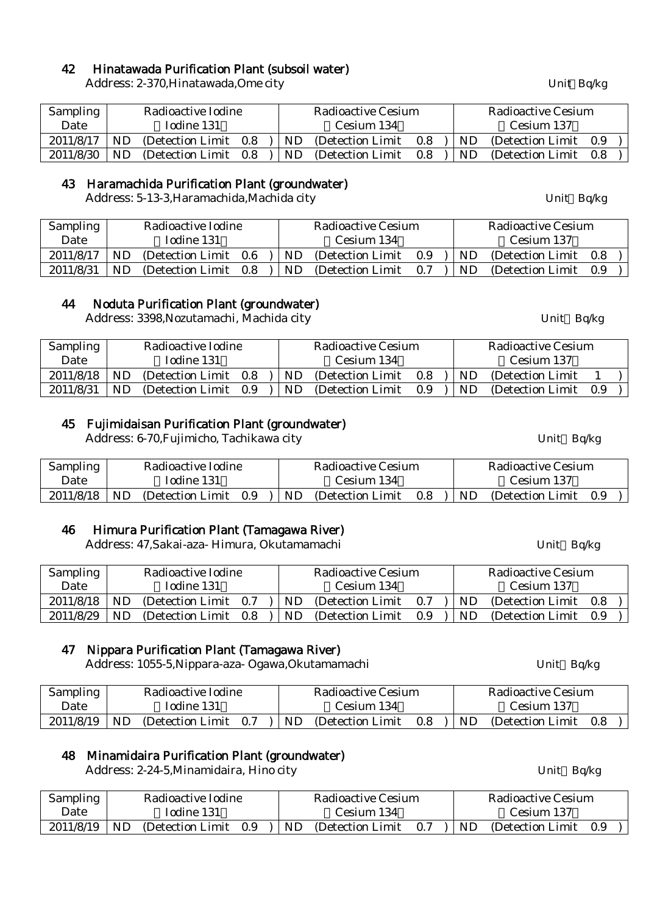## 42 Hinatawada Purification Plant (subsoil water)

Address: 2-370, Hinatawada, Ome city Unit Bq/kg

| Sampling  |           | Radioactive Iodine    |            | Radioactive Cesium    |     |  |            | Radioactive Cesium |               |  |
|-----------|-----------|-----------------------|------------|-----------------------|-----|--|------------|--------------------|---------------|--|
| Date      |           | Iodine 131            | Cesium 134 |                       |     |  | Cesium 137 |                    |               |  |
| 2011/8/17 | <b>ND</b> | (Detection Limit 0.8) | ND.        | (Detection Limit)     | 0.8 |  | ND.        | (Detection Limit)  | 0.9           |  |
| 2011/8/30 | ND.       | (Detection Limit 0.8) | ND.        | (Detection Limit 0.8) |     |  | ND.        | (Detection Limit)  | $0.8^{\circ}$ |  |

### 43 Haramachida Purification Plant (groundwater)

Address: 5-13-3, Haramachida, Machida city Unit Bq/kg

| Sampling  |           | Radioactive Iodine |      |     | Radioactive Cesium |     |            | Radioactive Cesium    |  |  |
|-----------|-----------|--------------------|------|-----|--------------------|-----|------------|-----------------------|--|--|
| Date      |           | Iodine 131         |      |     | Cesium 134         |     | Cesium 137 |                       |  |  |
| 2011/8/17 | ND.       | (Detection Limit)  | -0.6 | ND. | (Detection Limit)  | 0.9 | ND.        | (Detection Limit 0.8) |  |  |
| 2011/8/31 | <b>ND</b> | (Detection Limit)  | 0.8  | ND. | (Detection Limit)  | 0.7 | ND.        | (Detection Limit 0.9) |  |  |

### 44 Noduta Purification Plant (groundwater)

Address: 3398, Nozutamachi, Machida city **Example 2018** Unit Bq/kg

| <b>Sampling</b> |     | Radioactive Iodine |     |            | Radioactive Cesium |     |     | Radioactive Cesium |     |  |
|-----------------|-----|--------------------|-----|------------|--------------------|-----|-----|--------------------|-----|--|
| Date            |     | Iodine 131         |     | Cesium 134 |                    |     |     | Cesium 137         |     |  |
| 2011/8/18       | ND. | (Detection Limit)  | 0.8 | ND.        | (Detection Limit)  | 0.8 | ND. | (Detection Limit)  |     |  |
| 2011/8/31       | ND. | (Detection Limit)  | 0.9 | ND.        | (Detection Limit)  | 0.9 | ND. | (Detection Limit)  | 0.9 |  |

## 45 Fujimidaisan Purification Plant (groundwater)

Address: 6-70, Fujimicho, Tachikawa city Unit Bq/kg

| Sampling | Radioactive Iodine |  | Radioactive Cesium |  | Radioactive Cesium                                                                      |  |
|----------|--------------------|--|--------------------|--|-----------------------------------------------------------------------------------------|--|
| Date     | Iodine 131         |  | Cesium 134         |  | Cesium 137                                                                              |  |
|          |                    |  |                    |  | $2011/8/18$ ND (Detection Limit 0.9 ) ND (Detection Limit 0.8 ) ND (Detection Limit 0.9 |  |

# 46 Himura Purification Plant (Tamagawa River)

Address: 47, Sakai-aza- Himura, Okutamamachi Unit Bq/kg

| <b>Sampling</b> |    | Radioactive Iodine |     |  |     | <b>Radioactive Cesium</b> |     |            | <b>Radioactive Cesium</b> |     |  |
|-----------------|----|--------------------|-----|--|-----|---------------------------|-----|------------|---------------------------|-----|--|
| Date            |    | Iodine 131         |     |  |     | Cesium 134                |     | Cesium 137 |                           |     |  |
| 2011/8/18       | ND | (Detection Limit)  | 0.7 |  | ND. | (Detection Limit)         | 0.7 | ND.        | (Detection Limit)         | 0.8 |  |
| 2011/8/29       | ND | (Detection Limit)  | 0.8 |  | ND. | (Detection Limit)         | 0.9 | <b>ND</b>  | (Detection Limit)         | 0.9 |  |

### 47 Nippara Purification Plant (Tamagawa River)

Address: 1055-5, Nippara-aza- Ogawa, Okutamamachi Vienness: 055-5, Nippara-aza- Ogawa, Okutamamachi

| Sampling       | Radioactive Iodine                           |  | Radioactive Cesium |              | Radioactive Cesium    |  |
|----------------|----------------------------------------------|--|--------------------|--------------|-----------------------|--|
| Date           | Iodine 131                                   |  | Cesium 134         |              | Cesium 137            |  |
| $2011/8/19$ ND | (Detection Limit $0.7$ ) ND (Detection Limit |  |                    | $0.8$ )   ND | (Detection Limit 0.8) |  |

### 48 Minamidaira Purification Plant (groundwater)

Address: 2-24-5, Minamidaira, Hino city Unit Bq/kg

| <b>Sampling</b> | Radioactive Iodine           | Radioactive Cesium                                      | Radioactive Cesium             |  |  |  |
|-----------------|------------------------------|---------------------------------------------------------|--------------------------------|--|--|--|
| Date            | Iodine 131                   | Cesium 134                                              | Cesium 137                     |  |  |  |
| 2011/8/19       | ND.<br>(Detection Limit 0.9) | $\overline{\phantom{a}}$ ND<br>(Detection Limit)<br>0.7 | ND<br>0.9<br>(Detection Limit) |  |  |  |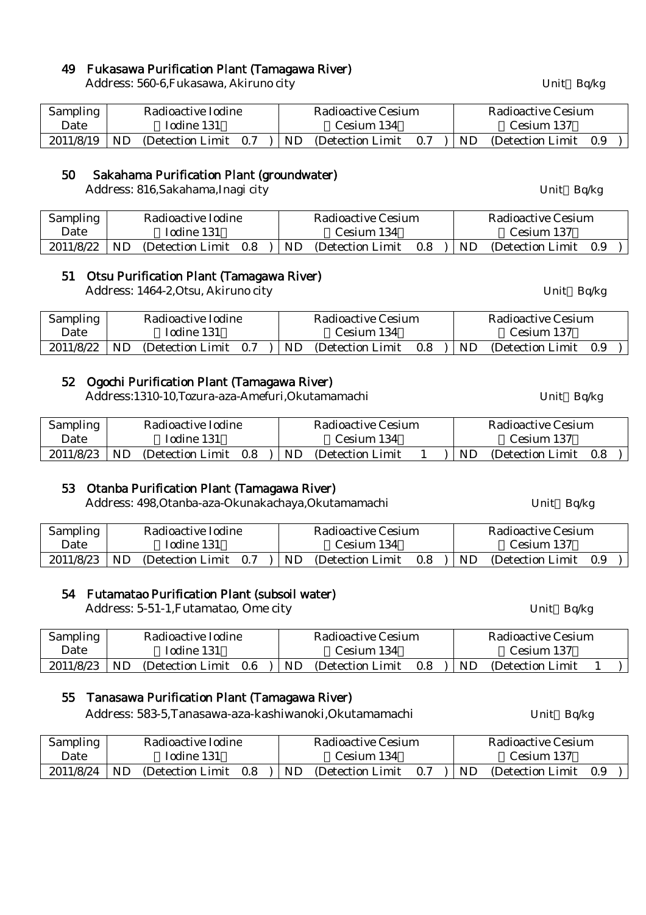# 49 Fukasawa Purification Plant (Tamagawa River)

Address: 560-6,Fukasawa, Akiruno city Unit Bq/kg

| <b>Sampling</b> | Radioactive Iodine |                       |  | Radioactive Cesium |                  |     |     | Radioactive Cesium |     |  |  |
|-----------------|--------------------|-----------------------|--|--------------------|------------------|-----|-----|--------------------|-----|--|--|
| Date            |                    | Iodine 131            |  |                    | Cesium 134       |     |     | Cesium 137         |     |  |  |
| 2011/8/19       | -ND                | (Detection Limit 0.7) |  | $\mathsf{J}$ ND    | (Detection Limit | 0.7 | ND. | (Detection Limit)  | 0.9 |  |  |

#### 50 Sakahama Purification Plant (groundwater)

Address: 816, Sakahama, Inagi city Unit Bq/kg

| Sampling  | Radioactive Iodine |                  |     |  |            | Radioactive Cesium       | Radioactive Cesium |            |                       |  |  |
|-----------|--------------------|------------------|-----|--|------------|--------------------------|--------------------|------------|-----------------------|--|--|
| Date      |                    | Iodine 131       |     |  | Cesium 134 |                          |                    | Cesium 137 |                       |  |  |
| 2011/8/22 | <b>ND</b>          | (Detection Limit | 0.8 |  |            | .   ND (Detection Limit) | 0.8                | ND         | (Detection Limit 0.9) |  |  |

## 51 Otsu Purification Plant (Tamagawa River)

Address: 1464-2, Otsu, Akiruno city Unit Bq/kg

| Sampling  | Radioactive Iodine |                   |     | Radioactive Cesium |                   |     |     | Radioactive Cesium |     |  |  |
|-----------|--------------------|-------------------|-----|--------------------|-------------------|-----|-----|--------------------|-----|--|--|
| Date      |                    | Iodine 131        |     |                    | Cesium 134        |     |     | Cesium 137         |     |  |  |
| 2011/8/22 | ND                 | (Detection Limit) | 0.7 | ND.                | (Detection Limit) | 0.8 | ND. | (Detection Limit)  | 0.9 |  |  |

### 52 Ogochi Purification Plant (Tamagawa River)

Address:1310-10,Tozura-aza-Amefuri,Okutamamachi Unit Bq/kg

| Sampling       | Radioactive Iodine            |  | Radioactive Cesium |  |  |     | Radioactive Cesium    |  |  |  |
|----------------|-------------------------------|--|--------------------|--|--|-----|-----------------------|--|--|--|
| Date           | Iodine 131                    |  | Cesium 134         |  |  |     | Cesium 137            |  |  |  |
| $2011/8/23$ ND | (Detection Limit $0.8$ )   ND |  | (Detection Limit)  |  |  | ND. | (Detection Limit 0.8) |  |  |  |

### 53 Otanba Purification Plant (Tamagawa River)

Address: 498, Otanba-aza-Okunakachaya, Okutamamachi Unit Bq/kg

| <b>Sampling</b> | Radioactive Iodine |                   |     | Radioactive Cesium |                   |     |            | Radioactive Cesium |     |  |  |
|-----------------|--------------------|-------------------|-----|--------------------|-------------------|-----|------------|--------------------|-----|--|--|
| Date            | Iodine 131         |                   |     | Cesium 134         |                   |     | Cesium 137 |                    |     |  |  |
| 2011/8/23       | <b>ND</b>          | (Detection Limit) | 0.7 | ND                 | (Detection Limit) | 0.8 | ND         | (Detection Limit)  | 0.9 |  |  |

### 54 Futamatao Purification Plant (subsoil water)

Address: 5-51-1, Futamatao, Ome city Unit Bq/kg

| <b>Sampling</b> |            | Radioactive Iodine |         |     | Radioactive Cesium | Radioactive Cesium |     |                   |  |  |  |
|-----------------|------------|--------------------|---------|-----|--------------------|--------------------|-----|-------------------|--|--|--|
| Date            | Todine 131 |                    |         |     | Cesium 134         |                    |     | Cesium 137        |  |  |  |
| 2011/8/23       | ND.        | (Detection Limit)  | $0.6\,$ | ND. | (Detection Limit)  | 0.8                | ND. | (Detection Limit) |  |  |  |

# 55 Tanasawa Purification Plant (Tamagawa River)

Address: 583-5, Tanasawa-aza-kashiwanoki, Okutamamachi Unit Bq/kg

| <b>Sampling</b> | Radioactive Iodine |                   |     |  |     | Radioactive Cesium | Radioactive Cesium |     |                       |  |  |  |
|-----------------|--------------------|-------------------|-----|--|-----|--------------------|--------------------|-----|-----------------------|--|--|--|
| Date            |                    | Iodine 131        |     |  |     | Cesium 134         |                    |     | Cesium 137            |  |  |  |
| 2011/8/24       | <b>ND</b>          | (Detection Limit) | 0.8 |  | ND. | (Detection Limit)  | 0.7                | ND. | (Detection Limit 0.9) |  |  |  |